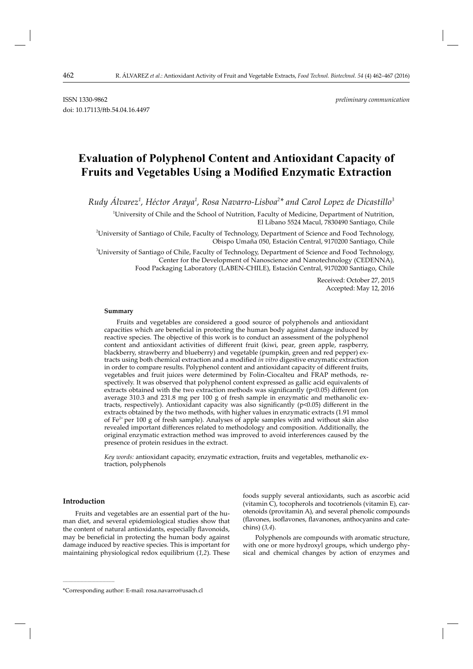doi: 10.17113/ftb.54.04.16.4497

ISSN 1330-9862 *preliminary communication*

# **Evaluation of Polyphenol Content and Antioxidant Capacity of Fruits and Vegetables Using a Modified Enzymatic Extraction**

*Rudy Álvarez<sup>1</sup> , Héctor Araya<sup>1</sup> , Rosa Navarro-Lisboa<sup>2</sup> \* and Carol Lopez de Dicastillo3*

1 University of Chile and the School of Nutrition, Faculty of Medicine, Department of Nutrition, El Líbano 5524 Macul, 7830490 Santiago, Chile

2 University of Santiago of Chile, Faculty of Technology, Department of Science and Food Technology, Obispo Umaña 050, Estación Central, 9170200 Santiago, Chile

3 University of Santiago of Chile, Faculty of Technology, Department of Science and Food Technology, Center for the Development of Nanoscience and Nanotechnology (CEDENNA), Food Packaging Laboratory (LABEN-CHILE), Estación Central, 9170200 Santiago, Chile

> Received: October 27, 2015 Accepted: May 12, 2016

#### **Summary**

Fruits and vegetables are considered a good source of polyphenols and antioxidant capacities which are beneficial in protecting the human body against damage induced by reactive species. The objective of this work is to conduct an assessment of the polyphenol content and antioxidant activities of different fruit (kiwi, pear, green apple, raspberry, blackberry, strawberry and blueberry) and vegetable (pumpkin, green and red pepper) extracts using both chemical extraction and a modified *in vitro* digestive enzymatic extraction in order to compare results. Polyphenol content and antioxidant capacity of different fruits, vegetables and fruit juices were determined by Folin-Ciocalteu and FRAP methods, respectively. It was observed that polyphenol content expressed as gallic acid equivalents of extracts obtained with the two extraction methods was significantly ( $p<0.05$ ) different (on average 310.3 and 231.8 mg per 100 g of fresh sample in enzymatic and methanolic extracts, respectively). Antioxidant capacity was also significantly  $(p<0.05)$  different in the extracts obtained by the two methods, with higher values in enzymatic extracts (1.91 mmol of  $Fe<sup>2+</sup>$  per 100 g of fresh sample). Analyses of apple samples with and without skin also revealed important differences related to methodology and composition. Additionally, the original enzymatic extraction method was improved to avoid interferences caused by the presence of protein residues in the extract.

*Key words:* antioxidant capacity, enzymatic extraction, fruits and vegetables, methanolic extraction, polyphenols

## **Introduction**

**\_\_\_\_\_\_\_\_\_\_\_\_\_\_\_\_\_\_\_\_\_\_\_\_\_\_\_\_\_\_**

Fruits and vegetables are an essential part of the human diet, and several epidemiological studies show that the content of natural antioxidants, especially flavonoids, may be beneficial in protecting the human body against damage induced by reactive species. This is important for maintaining physiological redox equilibrium (*1,2*). These foods supply several antioxidants, such as ascorbic acid (vitamin C), tocopherols and tocotrienols (vitamin E), carotenoids (provitamin A), and several phenolic compounds (flavones, isoflavones, flavanones, anthocyanins and catechins) (*3,4*).

Polyphenols are compounds with aromatic structure, with one or more hydroxyl groups, which undergo physical and chemical changes by action of enzymes and

<sup>\*</sup>Corresponding author: E-mail: rosa.navarro@usach.cl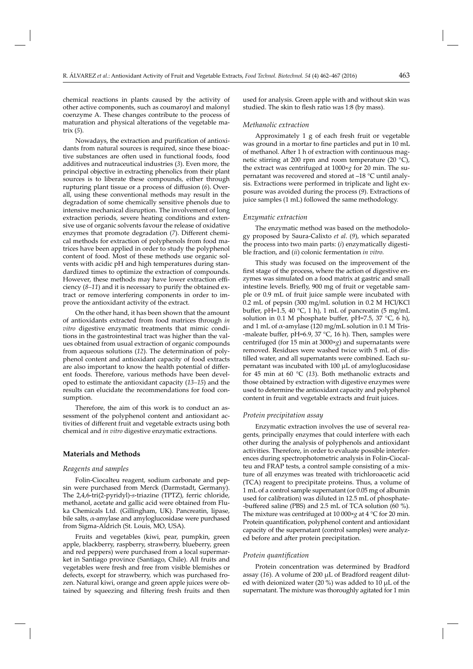chemical reactions in plants caused by the activity of other active components, such as coumaroyl and malonyl coenzyme A. These changes contribute to the process of maturation and physical alterations of the vegetable matrix (*5*).

Nowadays, the extraction and purification of antioxidants from natural sources is required, since these bioactive substances are often used in functional foods, food additives and nutraceutical industries (*3*). Even more, the principal objective in extracting phenolics from their plant sources is to liberate these compounds, either through rupturing plant tissue or a process of diffusion (6). Overall, using these conventional methods may result in the degradation of some chemically sensitive phenols due to intensive mechanical disruption. The involvement of long extraction periods, severe heating conditions and extensive use of organic solvents favour the release of oxidative enzymes that promote degradation (7). Different chemical methods for extraction of polyphenols from food matrices have been applied in order to study the polyphenol content of food. Most of these methods use organic solvents with acidic pH and high temperatures during standardized times to optimize the extraction of compounds. However, these methods may have lower extraction efficiency (*8–11*) and it is necessary to purify the obtained extract or remove interfering components in order to improve the antioxidant activity of the extract.

On the other hand, it has been shown that the amount of antioxidants extracted from food matrices through *in vitro* digestive enzymatic treatments that mimic conditions in the gastrointestinal tract was higher than the values obtained from usual extraction of organic compounds from aqueous solutions (*12*). The determination of polyphenol content and antioxidant capacity of food extracts are also important to know the health potential of different foods. Therefore, various methods have been developed to estimate the antioxidant capacity (*13–15*) and the results can elucidate the recommendations for food consumption.

Therefore, the aim of this work is to conduct an assessment of the polyphenol content and antioxidant activities of different fruit and vegetable extracts using both chemical and *in vitro* digestive enzymatic extractions.

## **Materials and Methods**

#### *Reagents and samples*

Folin-Ciocalteu reagent, sodium carbonate and pepsin were purchased from Merck (Darmstadt, Germany). The 2,4,6-tri(2-pyridyl)-*s*-triazine (TPTZ), ferric chloride, methanol, acetate and gallic acid were obtained from Fluka Chemicals Ltd. (Gillingham, UK). Pancreatin, lipase, bile salts, α-amylase and amyloglucosidase were purchased from Sigma-Aldrich (St. Louis, MO, USA).

Fruits and vegetables (kiwi, pear, pumpkin, green apple, blackberry, raspberry, strawberry, blueberry, green and red peppers) were purchased from a local supermarket in Santiago province (Santiago, Chile). All fruits and vegetables were fresh and free from visible blemishes or defects, except for strawberry, which was purchased frozen. Natural kiwi, orange and green apple juices were obtained by squeezing and filtering fresh fruits and then used for analysis. Green apple with and without skin was studied. The skin to flesh ratio was 1:8 (by mass).

#### *Methanolic extraction*

Approximately 1 g of each fresh fruit or vegetable was ground in a mortar to fine particles and put in 10 mL of methanol. After 1 h of extraction with continuous magnetic stirring at 200 rpm and room temperature (20  $^{\circ}$ C), the extract was centrifuged at 1000×*g* for 20 min. The supernatant was recovered and stored at –18 °C until analysis. Extractions were performed in triplicate and light exposure was avoided during the process (*9*). Extractions of juice samples (1 mL) followed the same methodology.

#### *Enzymatic extraction*

The enzymatic method was based on the methodology proposed by Saura-Calixto *et al*. (*9*), which separated the process into two main parts: (*i*) enzymatically digestible fraction, and (*ii*) colonic fermentation *in vitro.*

This study was focused on the improvement of the first stage of the process, where the action of digestive enzymes was simulated on a food matrix at gastric and small intestine levels. Briefly, 900 mg of fruit or vegetable sample or 0.9 mL of fruit juice sample were incubated with 0.2 mL of pepsin (300 mg/mL solution in 0.2 M HCl/KCl buffer, pH=1.5, 40  $^{\circ}$ C, 1 h), 1 mL of pancreatin (5 mg/mL solution in 0.1 M phosphate buffer, pH=7.5, 37  $°C$ , 6 h), and 1 mL of  $\alpha$ -amylase (120 mg/mL solution in 0.1 M Tris--maleate buffer, pH=6.9, 37  $^{\circ}$ C, 16 h). Then, samples were centrifuged (for 15 min at 3000×*g*) and supernatants were removed. Residues were washed twice with 5 mL of distilled water, and all supernatants were combined. Each supernatant was incubated with 100 μL of amyloglucosidase for 45 min at 60 °C (*13*). Both methanolic extracts and those obtained by extraction with digestive enzymes were used to determine the antioxidant capacity and polyphenol content in fruit and vegetable extracts and fruit juices.

### *Protein precipitation assay*

Enzymatic extraction involves the use of several reagents, principally enzymes that could interfere with each other during the analysis of polyphenols and antioxidant activities. Therefore, in order to evaluate possible interferences during spectrophotometric analysis in Folin-Ciocalteu and FRAP tests, a control sample consisting of a mixture of all enzymes was treated with trichloroacetic acid (TCA) reagent to precipitate proteins. Thus, a volume of 1 mL of a control sample supernatant (or 0.05 mg of albumin used for calibration) was diluted in 12.5 mL of phosphate- -buffered saline (PBS) and 2.5 mL of TCA solution (60 %). The mixture was centrifuged at 10 000×*g* at 4 °C for 20 min. Protein quantification, polyphenol content and antioxidant capacity of the supernatant (control samples) were analyzed before and after protein precipitation.

#### *Protein quantifi cation*

Protein concentration was determined by Bradford assay (*16*). A volume of 200 μL of Bradford reagent diluted with deionized water (20 %) was added to 10 μL of the supernatant. The mixture was thoroughly agitated for 1 min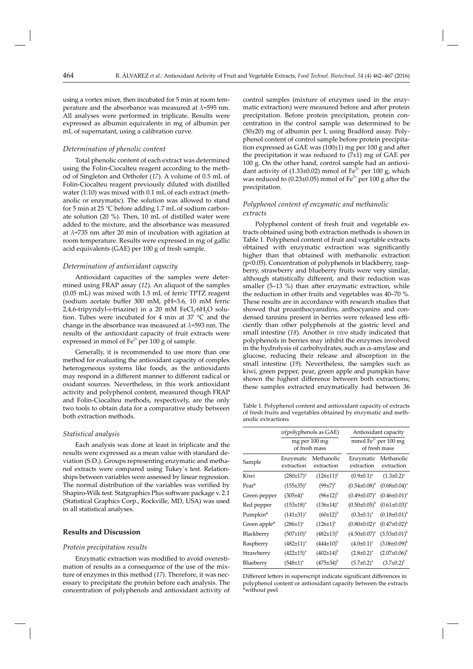using a vortex mixer, then incubated for 5 min at room temperature and the absorbance was measured at *λ*=595 nm. All analyses were performed in triplicate. Results were expressed as albumin equivalents in mg of albumin per mL of supernatant, using a calibration curve.

# *Determination of phenolic content*

Total phenolic content of each extract was determined using the Folin-Ciocalteu reagent according to the method of Singleton and Orthofer (*17*). A volume of 0.5 mL of Folin-Ciocalteu reagent previously diluted with distilled water (1:10) was mixed with 0.1 mL of each extract (methanolic or enzymatic). The solution was allowed to stand for 5 min at 25 °C before adding 1.7 mL of sodium carbonate solution (20 %). Then, 10 mL of distilled water were added to the mixture, and the absorbance was measured at  $\lambda$ =735 nm after 20 min of incubation with agitation at room temperature. Results were expressed in mg of gallic acid equivalents (GAE) per 100 g of fresh sample.

## *Determination of antioxidant capacity*

Antioxidant capacities of the samples were determined using FRAP assay (*12*). An aliquot of the samples (0.05 mL) was mixed with 1.5 mL of ferric TPTZ reagent (sodium acetate buffer 300 mM, pH=3.6, 10 mM ferric 2,4,6-tripyridyl-s-triazine) in a 20 mM FeCl<sub>3</sub>·6H<sub>2</sub>O solution. Tubes were incubated for 4 min at 37 °C and the change in the absorbance was measured at *λ*=593 nm. The results of the antioxidant capacity of fruit extracts were expressed in mmol of  $Fe<sup>2+</sup>$  per 100 g of sample.

Generally, it is recommended to use more than one method for evaluating the antioxidant capacity of complex heterogeneous systems like foods, as the antioxidants may respond in a different manner to different radical or oxidant sources. Nevertheless, in this work antioxidant activity and polyphenol content, measured though FRAP and Folin-Ciocalteu methods, respectively, are the only two tools to obtain data for a comparative study between both extraction methods.

#### *Statistical analysis*

Each analysis was done at least in triplicate and the results were expressed as a mean value with standard deviation (S.D.). Groups representing enzymatic and methanol extracts were compared using Tukey´s test. Relationships between variables were assessed by linear regression. The normal distribution of the variables was verified by Shapiro-Wilk test. Statgraphics Plus software package v. 2.1 (Statistical Graphics Corp., Rockville, MD, USA) was used in all statistical analyses.

# **Results and Discussion**

#### *Protein precipitation results*

Enzymatic extraction was modified to avoid overestimation of results as a consequence of the use of the mixture of enzymes in this method (*17*). Therefore, it was necessary to precipitate the protein before each analysis. The concentration of polyphenols and antioxidant activity of

control samples (mixture of enzymes used in the enzymatic extraction) were measured before and after protein precipitation. Before protein precipitation, protein concentration in the control sample was determined to be (50±20) mg of albumin per L using Bradford assay. Polyphenol content of control sample before protein precipitation expressed as GAE was  $(100±1)$  mg per 100 g and after the precipitation it was reduced to  $(7±1)$  mg of GAE per 100 g. On the other hand, control sample had an antioxidant activity of (1.33±0.02) mmol of  $Fe<sup>2+</sup>$  per 100 g, which was reduced to (0.23±0.05) mmol of  $Fe^{2+}$  per 100 g after the precipitation.

# *Polyphenol content of enzymatic and methanolic extracts*

Polyphenol content of fresh fruit and vegetable extracts obtained using both extraction methods is shown in Table 1. Polyphenol content of fruit and vegetable extracts obtained with enzymatic extraction was significantly higher than that obtained with methanolic extraction  $(p<0.05)$ . Concentration of polyphenols in blackberry, raspberry, strawberry and blueberry fruits were very similar, although statistically different, and their reduction was smaller (5-13 %) than after enzymatic extraction, while the reduction in other fruits and vegetables was 40–70 %. These results are in accordance with research studies that showed that proanthocyanidins, anthocyanins and condensed tannins present in berries were released less efficiently than other polyphenols at the gastric level and small intestine (*18*). Another *in vivo* study indicated that polyphenols in berries may inhibit the enzymes involved in the hydrolysis of carbohydrates, such as  $\alpha$ -amylase and glucose, reducing their release and absorption in the small intestine (*19*). Nevertheless, the samples such as kiwi, green pepper, pear, green apple and pumpkin have shown the highest difference between both extractions; these samples extracted enzymatically had between 36

Table 1. Polyphenol content and antioxidant capacity of extracts of fresh fruits and vegetables obtained by enzymatic and methanolic extractions

|              | $w$ (polyphenols as GAE)       |                          | Antioxidant capacity                              |                          |  |
|--------------|--------------------------------|--------------------------|---------------------------------------------------|--------------------------|--|
|              | mg per 100 mg<br>of fresh mass |                          | mmol $\text{Fe}^{2+}$ per 100 mg<br>of fresh mass |                          |  |
| Sample       | Enzymatic<br>extraction        | Methanolic<br>extraction | Enzymatic<br>extraction                           | Methanolic<br>extraction |  |
| Kiwi         | $(280±17)^a$                   | $(126\pm11)^{b}$         | $(0.9 \pm 0.1)^a$                                 | $(1.3 \pm 0.2)^a$        |  |
| Pear*        | $(155\pm35)^{a}$               | $(99±7)^{b}$             | $(0.54 \pm 0.08)^{b}$                             | $(0.68 \pm 0.04)^a$      |  |
| Green pepper | $(305 \pm 4)^{a}$              | $(96±12)^{b}$            | $(0.49 \pm 0.07)^{a}$                             | $(0.46 \pm 0.01)^a$      |  |
| Red pepper   | $(153\pm18)^{a}$               | $(136\pm14)^a$           | $(0.50 \pm 0.05)^{b}$                             | $(0.61 \pm 0.03)^a$      |  |
| Pumpkin*     | $(141\pm31)^a$                 | $(60±12)^{b}$            | $(0.3 \pm 0.1)^a$                                 | $(0.18 \pm 0.01)^{b}$    |  |
| Green apple* | $(286 \pm 1)^a$                | $(126\pm1)^{b}$          | $(0.80 \pm 0.02)^a$                               | $(0.47 \pm 0.02)^{b}$    |  |
| Blackberry   | $(507 \pm 10)^a$               | $(482{\pm}13)^{b}$       | $(4.50 \pm 0.07)^a$                               | $(3.53\pm0.01)^{b}$      |  |
| Raspberry    | $(482 \pm 11)^a$               | $(444\pm10)^{b}$         | $(4.0\pm0.1)^a$                                   | $(3.06\pm0.09)^{b}$      |  |
| Strawberry   | $(422 \pm 15)^{a}$             | $(402\pm14)^{b}$         | $(2.8 \pm 0.2)^a$                                 | $(2.07 \pm 0.06)^{b}$    |  |
| Blueberry    | $(548 \pm 1)^{a}$              | $(475±34)^{b}$           | $(5.7 \pm 0.2)^a$                                 | $(3.7\pm0.2)^{b}$        |  |

Different letters in superscript indicate significant differences in polyphenol content or antioxidant capacity between the extracts \*without peel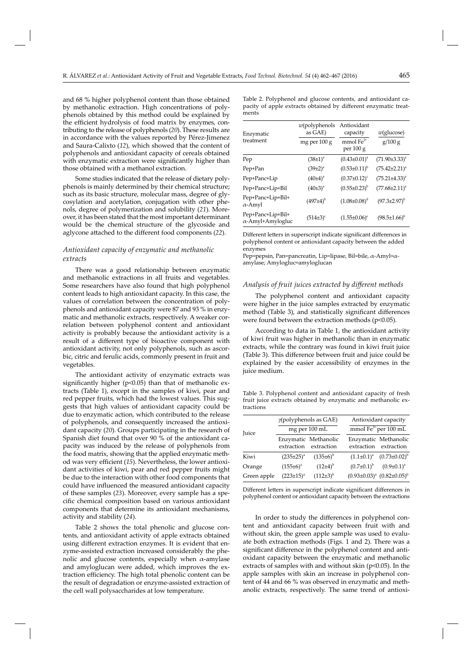and 68 % higher polyphenol content than those obtained by methanolic extraction. High concentrations of polyphenols obtained by this method could be explained by the efficient hydrolysis of food matrix by enzymes, contributing to the release of polyphenols (*20*). These results are in accordance with the values reported by Pérez-Jimenez and Saura-Calixto (*12*), which showed that the content of polyphenols and antioxidant capacity of cereals obtained with enzymatic extraction were significantly higher than those obtained with a methanol extraction.

Some studies indicated that the release of dietary polyphenols is mainly determined by their chemical structure; such as its basic structure, molecular mass, degree of glycosylation and acetylation, conjugation with other phenols, degree of polymerization and solubility (*21*). Moreover, it has been stated that the most important determinant would be the chemical structure of the glycoside and aglycone attached to the different food components (22).

# *Antioxidant capacity of enzymatic and methanolic extracts*

There was a good relationship between enzymatic and methanolic extractions in all fruits and vegetables. Some researchers have also found that high polyphenol content leads to high antioxidant capacity. In this case, the values of correlation between the concentration of polyphenols and antioxidant capacity were 87 and 93 % in enzymatic and methanolic extracts, respectively. A weaker correlation between polyphenol content and antioxidant activity is probably because the antioxidant activity is a result of a different type of bioactive component with antioxidant activity, not only polyphenols, such as ascorbic, citric and ferulic acids, commonly present in fruit and vegetables.

The antioxidant activity of enzymatic extracts was significantly higher ( $p$ <0.05) than that of methanolic extracts (Table 1), except in the samples of kiwi, pear and red pepper fruits, which had the lowest values. This suggests that high values of antioxidant capacity could be due to enzymatic action, which contributed to the release of polyphenols, and consequently increased the antioxidant capacity (*20*). Groups participating in the research of Spanish diet found that over 90 % of the antioxidant capacity was induced by the release of polyphenols from the food matrix, showing that the applied enzymatic method was very efficient (15). Nevertheless, the lower antioxidant activities of kiwi, pear and red pepper fruits might be due to the interaction with other food components that could have influenced the measured antioxidant capacity of these samples (*23*). Moreover, every sample has a specific chemical composition based on various antioxidant components that determine its antioxidant mechanisms, activity and stability (*24*).

Table 2 shows the total phenolic and glucose contents, and antioxidant activity of apple extracts obtained using different extraction enzymes. It is evident that enzyme-assisted extraction increased considerably the phenolic and glucose contents, especially when  $α$ -amylase and amyloglucan were added, which improves the extraction efficiency. The high total phenolic content can be the result of degradation or enzyme-assisted extraction of the cell wall polysaccharides at low temperature.

Table 2. Polyphenol and glucose contents, and antioxidant capacity of apple extracts obtained by different enzymatic treatments

| Enzymatic                             | $w$ (polyphenols<br>as GAE) | Antioxidant<br>capacity  | $w$ (glucose)         |
|---------------------------------------|-----------------------------|--------------------------|-----------------------|
| treatment                             | mg per 100 g                | mmol $Fe2+$<br>per 100 g | g/100 g               |
| Pep                                   | $(38\pm1)^{a}$              | $(0.43 \pm 0.01)^a$      | $(71.90\pm3.33)^{a}$  |
| Pep+Pan                               | $(39\pm2)^{a}$              | $(0.53 \pm 0.11)^{b}$    | $(75.42 \pm 2.21)^a$  |
| Pep+Panc+Lip                          | $(40±4)^a$                  | $(0.37 \pm 0.12)^c$      | $(75.21 \pm 4.33)^a$  |
| Pep+Panc+Lip+Bil                      | $(40±3)^a$                  | $(0.55 \pm 0.23)^{b}$    | $(77.68 \pm 2.11)^a$  |
| Pep+Panc+Lip+Bil+<br>α-Amyl           | $(497±4)^{b}$               | $(1.08 \pm 0.08)^d$      | $(97.3 \pm 2.97)^{b}$ |
| Pep+Panc+Lip+Bil+<br>α-Amyl+Amylogluc | $(514\pm3)^c$               | $(1.55 \pm 0.06)^e$      | $(98.5 \pm 1.66)^{b}$ |

Different letters in superscript indicate significant differences in polyphenol content or antioxidant capacity between the added enzymes

Pep=pepsin, Pan=pancreatin, Lip=lipase, Bil=bile, α-Amyl=αamylase; Amylogluc=amyloglucan

# *Analysis of fruit juices extracted by diff erent methods*

The polyphenol content and antioxidant capacity were higher in the juice samples extracted by enzymatic method (Table 3), and statistically significant differences were found between the extraction methods ( $p<0.05$ ).

According to data in Table 1, the antioxidant activity of kiwi fruit was higher in methanolic than in enzymatic extracts, while the contrary was found in kiwi fruit juice (Table 3). This difference between fruit and juice could be explained by the easier accessibility of enzymes in the juice medium.

Table 3. Polyphenol content and antioxidant capacity of fresh fruit juice extracts obtained by enzymatic and methanolic extractions

| <b>Juice</b> | $\gamma$ (polyphenols as GAE) |                                               | Antioxidant capacity                              |                                               |  |
|--------------|-------------------------------|-----------------------------------------------|---------------------------------------------------|-----------------------------------------------|--|
|              | mg per 100 mL                 |                                               | $\overline{\text{mmol Fe}^{2+}\text{per 100 mL}}$ |                                               |  |
|              |                               | Enzymatic Methanolic<br>extraction extraction |                                                   | Enzymatic Methanolic<br>extraction extraction |  |
| Kiwi         | $(235 \pm 25)^{a}$            | $(135\pm6)^{b}$                               |                                                   | $(1.1\pm0.1)^a$ $(0.73\pm0.02)^b$             |  |
| Orange       | $(155±6)^a$                   | $(12\pm 4)^{b}$                               | $(0.7\pm0.1)^{b}$                                 | $(0.9 \pm 0.1)^a$                             |  |
| Green apple  | $(223 \pm 15)^{a}$            | $(112\pm3)^{b}$                               |                                                   | $(0.93\pm0.03)^a$ $(0.82\pm0.05)^b$           |  |

Different letters in superscript indicate significant differences in poly phenol content or antioxidant capacity between the extractions

In order to study the differences in polyphenol content and antioxidant capacity between fruit with and without skin, the green apple sample was used to evaluate both extraction methods (Figs. 1 and 2). There was a significant difference in the polyphenol content and antioxidant capacity between the enzymatic and methanolic extracts of samples with and without skin (p<0.05). In the apple samples with skin an increase in polyphenol content of 44 and 66 % was observed in enzymatic and methanolic extracts, respectively. The same trend of antioxi-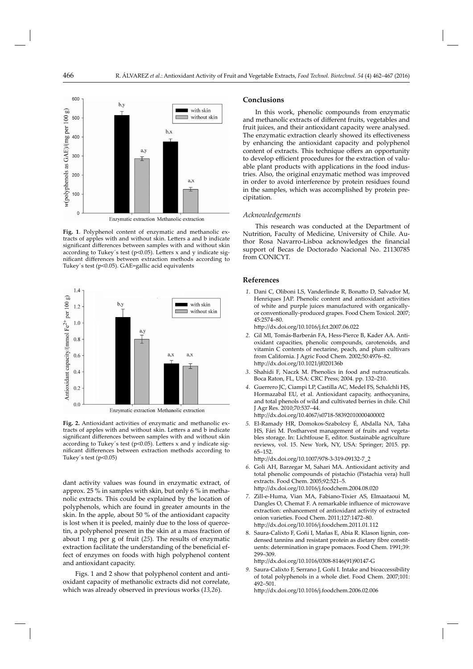

Enzymatic extraction Methanolic extraction

**Fig. 1**. Polyphenol content of enzymatic and methanolic extracts of apples with and without skin. Letters a and b indicate significant differences between samples with and without skin according to Tukey's test ( $p$ <0.05). Letters x and y indicate significant differences between extraction methods according to Tukey´s test (p<0.05). GAE=gallic acid equivalents



Enzymatic extraction Methanolic extraction

**Fig. 2.** Antioxidant activities of enzymatic and methanolic extracts of apples with and without skin. Letters a and b indicate significant differences between samples with and without skin according to Tukey's test ( $p$ <0.05). Letters x and y indicate significant differences between extraction methods according to Tukey's test  $(p<0.05)$ 

dant activity values was found in enzymatic extract, of approx. 25 % in samples with skin, but only 6 % in methanolic extracts. This could be explained by the location of polyphenols, which are found in greater amounts in the skin. In the apple, about 50 % of the antioxidant capacity is lost when it is peeled, mainly due to the loss of quercetin, a polyphenol present in the skin at a mass fraction of about 1 mg per g of fruit (*25*). The results of enzymatic extraction facilitate the understanding of the beneficial effect of enzymes on foods with high polyphenol content and antioxidant capacity.

Figs. 1 and 2 show that polyphenol content and antioxidant capacity of methanolic extracts did not correlate, which was already observed in previous works (*13,26*).

## **Conclusions**

In this work, phenolic compounds from enzymatic and methanolic extracts of different fruits, vegetables and fruit juices, and their antioxidant capacity were analysed. The enzymatic extraction clearly showed its effectiveness by enhancing the antioxidant capacity and polyphenol content of extracts. This technique offers an opportunity to develop efficient procedures for the extraction of valuable plant products with applications in the food industries. Also, the original enzymatic method was improved in order to avoid interference by protein residues found in the samples, which was accomplished by protein precipitation.

## *Acknowledgements*

This research was conducted at the Department of Nutrition, Faculty of Medicine, University of Chile. Author Rosa Navarro-Lisboa acknowledges the financial support of Becas de Doctorado Nacional No. 21130785 from CONICYT.

## **References**

- 1. Dani C, Oliboni LS, Vanderlinde R, Bonatto D, Salvador M, Henriques JAP. Phenolic content and antioxidant activities of white and purple juices manufactured with organicallyor conventionally-produced grapes. Food Chem Toxicol. 2007; 45:2574–80.
	- http://dx.doi.org/10.1016/j.fct.2007.06.022
- *2.* Gil MI, Tomás-Barberán FA, Hess-Pierce B, Kader AA. Antioxidant capacities, phenolic compounds, carotenoids, and vitamin C contents of nectarine, peach, and plum cultivars from California. J Agric Food Chem. 2002;50:4976–82. http://dx.doi.org/10.1021/jf020136b
- *3*. Shahidi F, Naczk M. Phenolics in food and nutraceuticals. Boca Raton, FL, USA: CRC Press; 2004. pp. 132–210.
- *4.* Guerrero JC, Ciampi LP, Castilla AC, Medel FS, Schalchli HS, Hormazabal EU, et al. Antioxidant capacity, anthocyanins, and total phenols of wild and cultivated berries in chile. Chil J Agr Res. 2010;70:537–44. http://dx.doi.org/10.4067/s0718-58392010000400002

 *5.* El-Ramady HR, Domokos-Szabolcsy É, Abdalla NA, Taha HS, Fári M. Postharvest management of fruits and vegetables storage. In: Lichtfouse E, editor. Sustainable agriculture reviews, vol. 15. New York, NY, USA: Springer; 2015. pp. 65–152.

http://dx.doi.org/10.1007/978-3-319-09132-7\_2

- *6.* Goli AH, Barzegar M, Sahari MA. Antioxidant activity and total phenolic compounds of pistachio (Pistachia vera) hull extracts. Food Chem. 2005;92:521–5. http://dx.doi.org/10.1016/j.foodchem.2004.08.020
- *7.* Zill-e-Huma, Vian MA, Fabiano-Tixier AS, Elmaataoui M, Dangles O, Chemat F. A remarkable influence of microwave extraction: enhancement of antioxidant activity of extracted onion varieties. Food Chem. 2011;127:1472–80. http://dx.doi.org/10.1016/j.foodchem.2011.01.112
- 8. Saura-Calixto F, Goñi I, Mañas E, Abia R. Klason lignin, condensed tannins and resistant protein as dietary fibre constituents: determination in grape pomaces. Food Chem. 1991;39: 299–309.

http://dx.doi.org/10.1016/0308-8146(91)90147-G

 *9.* Saura-Calixto F, Serrano J, Goñi I. Intake and bioaccessibility of total polyphenols in a whole diet. Food Chem. 2007;101: 492–501.

http://dx.doi.org/10.1016/j.foodchem.2006.02.006